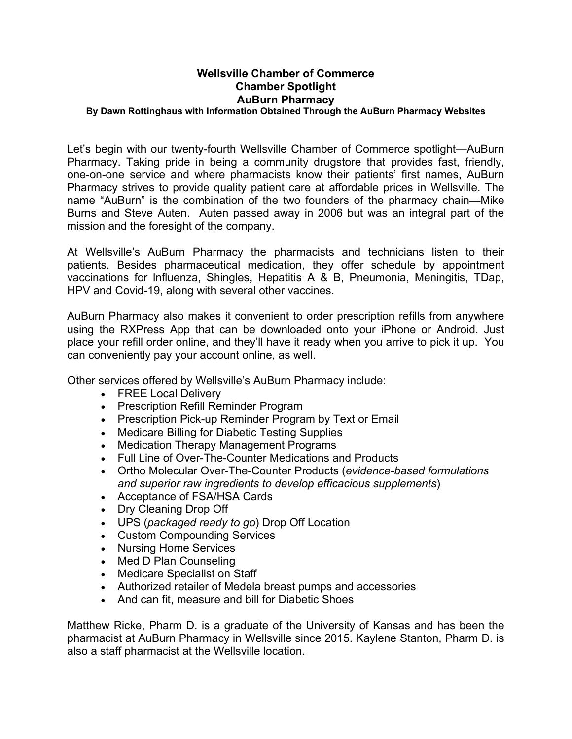## **Wellsville Chamber of Commerce Chamber Spotlight AuBurn Pharmacy**

## **By Dawn Rottinghaus with Information Obtained Through the AuBurn Pharmacy Websites**

Let's begin with our twenty-fourth Wellsville Chamber of Commerce spotlight—AuBurn Pharmacy. Taking pride in being a community drugstore that provides fast, friendly, one-on-one service and where pharmacists know their patients' first names, AuBurn Pharmacy strives to provide quality patient care at affordable prices in Wellsville. The name "AuBurn" is the combination of the two founders of the pharmacy chain—Mike Burns and Steve Auten. Auten passed away in 2006 but was an integral part of the mission and the foresight of the company.

At Wellsville's AuBurn Pharmacy the pharmacists and technicians listen to their patients. Besides pharmaceutical medication, they offer schedule by appointment vaccinations for lnfluenza, Shingles, Hepatitis A & B, Pneumonia, Meningitis, TDap, HPV and Covid-19, along with several other vaccines.

AuBurn Pharmacy also makes it convenient to order prescription refills from anywhere using the RXPress App that can be downloaded onto your iPhone or Android. Just place your refill order online, and they'll have it ready when you arrive to pick it up. You can conveniently pay your account online, as well.

Other services offered by Wellsville's AuBurn Pharmacy include:

- FREE Local Delivery
- Prescription Refill Reminder Program
- Prescription Pick-up Reminder Program by Text or Email
- Medicare Billing for Diabetic Testing Supplies
- Medication Therapy Management Programs
- Full Line of Over-The-Counter Medications and Products
- Ortho Molecular Over-The-Counter Products (*evidence-based formulations and superior raw ingredients to develop efficacious supplements*)
- Acceptance of FSA/HSA Cards
- Dry Cleaning Drop Off
- UPS (*packaged ready to go*) Drop Off Location
- Custom Compounding Services
- Nursing Home Services
- Med D Plan Counseling
- Medicare Specialist on Staff
- Authorized retailer of Medela breast pumps and accessories
- And can fit, measure and bill for Diabetic Shoes

Matthew Ricke, Pharm D. is a graduate of the University of Kansas and has been the pharmacist at AuBurn Pharmacy in Wellsville since 2015. Kaylene Stanton, Pharm D. is also a staff pharmacist at the Wellsville location.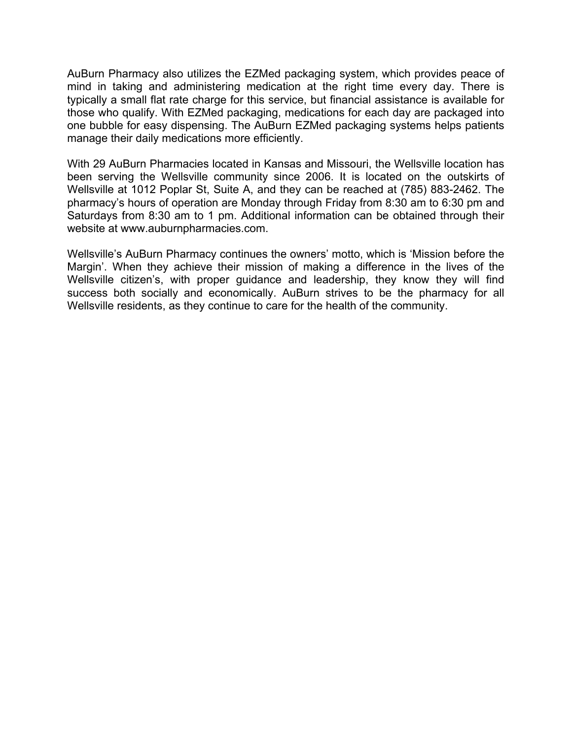AuBurn Pharmacy also utilizes the EZMed packaging system, which provides peace of mind in taking and administering medication at the right time every day. There is typically a small flat rate charge for this service, but financial assistance is available for those who qualify. With EZMed packaging, medications for each day are packaged into one bubble for easy dispensing. The AuBurn EZMed packaging systems helps patients manage their daily medications more efficiently.

With 29 AuBurn Pharmacies located in Kansas and Missouri, the Wellsville location has been serving the Wellsville community since 2006. It is located on the outskirts of Wellsville at 1012 Poplar St, Suite A, and they can be reached at (785) 883-2462. The pharmacy's hours of operation are Monday through Friday from 8:30 am to 6:30 pm and Saturdays from 8:30 am to 1 pm. Additional information can be obtained through their website at www.auburnpharmacies.com.

Wellsville's AuBurn Pharmacy continues the owners' motto, which is 'Mission before the Margin'. When they achieve their mission of making a difference in the lives of the Wellsville citizen's, with proper guidance and leadership, they know they will find success both socially and economically. AuBurn strives to be the pharmacy for all Wellsville residents, as they continue to care for the health of the community.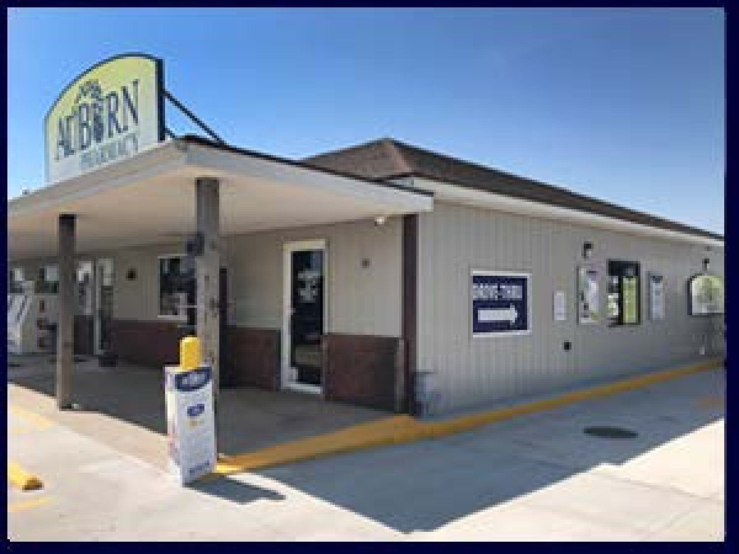